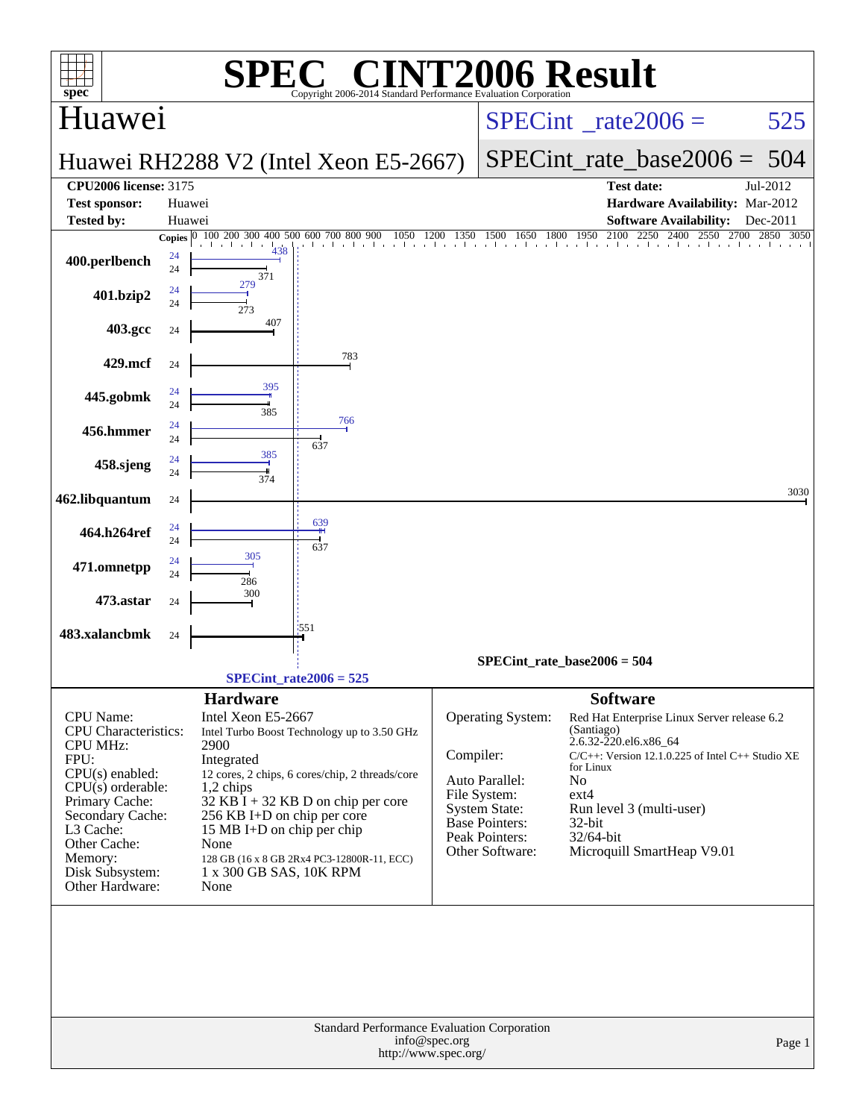| $spec^*$                                                                                                                                                                                                                            |                  |                                                                                                                                                                                  | $\mathbf{P}(\mathbb{R})$<br>Copyright 2006-2014 Standard Performance Evaluation Corporation                                                                                          |                                 | <b>NT2006 Result</b>                                                                                                                      |                                                                                                                             |                                                                                                                                                              |           |
|-------------------------------------------------------------------------------------------------------------------------------------------------------------------------------------------------------------------------------------|------------------|----------------------------------------------------------------------------------------------------------------------------------------------------------------------------------|--------------------------------------------------------------------------------------------------------------------------------------------------------------------------------------|---------------------------------|-------------------------------------------------------------------------------------------------------------------------------------------|-----------------------------------------------------------------------------------------------------------------------------|--------------------------------------------------------------------------------------------------------------------------------------------------------------|-----------|
| Huawei                                                                                                                                                                                                                              |                  |                                                                                                                                                                                  |                                                                                                                                                                                      | $SPECint^{\circ}$ rate $2006 =$ |                                                                                                                                           |                                                                                                                             | 525                                                                                                                                                          |           |
|                                                                                                                                                                                                                                     |                  |                                                                                                                                                                                  | Huawei RH2288 V2 (Intel Xeon E5-2667)                                                                                                                                                |                                 |                                                                                                                                           | $SPECint_rate_base2006 =$                                                                                                   | - 504                                                                                                                                                        |           |
| <b>CPU2006 license: 3175</b>                                                                                                                                                                                                        |                  |                                                                                                                                                                                  |                                                                                                                                                                                      |                                 |                                                                                                                                           | <b>Test date:</b>                                                                                                           | Jul-2012                                                                                                                                                     |           |
| <b>Test sponsor:</b><br><b>Tested by:</b>                                                                                                                                                                                           | Huawei<br>Huawei |                                                                                                                                                                                  |                                                                                                                                                                                      |                                 |                                                                                                                                           |                                                                                                                             | Hardware Availability: Mar-2012<br><b>Software Availability:</b>                                                                                             | Dec-2011  |
|                                                                                                                                                                                                                                     |                  | Copies 0 100 200 300 400 500 600 700 800 900<br>$\mathbf{1}$<br>438                                                                                                              | 1050                                                                                                                                                                                 | 1200<br>1350                    | 1500<br>1650 1800 1950                                                                                                                    |                                                                                                                             | 2100 2250 2400 2550<br>2700<br>and a characteristic attention than the attention than the ch                                                                 | 2850 3050 |
| 400.perlbench                                                                                                                                                                                                                       | 24<br>24         | 371                                                                                                                                                                              |                                                                                                                                                                                      |                                 |                                                                                                                                           |                                                                                                                             |                                                                                                                                                              |           |
| 401.bzip2                                                                                                                                                                                                                           | 24<br>24         | 279<br>273                                                                                                                                                                       |                                                                                                                                                                                      |                                 |                                                                                                                                           |                                                                                                                             |                                                                                                                                                              |           |
| 403.gcc                                                                                                                                                                                                                             | 24               | 407                                                                                                                                                                              |                                                                                                                                                                                      |                                 |                                                                                                                                           |                                                                                                                             |                                                                                                                                                              |           |
| 429.mcf                                                                                                                                                                                                                             | 24               |                                                                                                                                                                                  | 783                                                                                                                                                                                  |                                 |                                                                                                                                           |                                                                                                                             |                                                                                                                                                              |           |
| 445.gobmk                                                                                                                                                                                                                           | 24<br>24         | 395<br>385                                                                                                                                                                       |                                                                                                                                                                                      |                                 |                                                                                                                                           |                                                                                                                             |                                                                                                                                                              |           |
| 456.hmmer                                                                                                                                                                                                                           | 24<br>24         |                                                                                                                                                                                  | 766<br>637                                                                                                                                                                           |                                 |                                                                                                                                           |                                                                                                                             |                                                                                                                                                              |           |
| 458.sjeng                                                                                                                                                                                                                           | 24<br>24         | 385<br>374                                                                                                                                                                       |                                                                                                                                                                                      |                                 |                                                                                                                                           |                                                                                                                             |                                                                                                                                                              |           |
| 462.libquantum                                                                                                                                                                                                                      | 24               |                                                                                                                                                                                  |                                                                                                                                                                                      |                                 |                                                                                                                                           |                                                                                                                             |                                                                                                                                                              | 3030      |
| 464.h264ref                                                                                                                                                                                                                         | 24<br>24         |                                                                                                                                                                                  | 639<br>637                                                                                                                                                                           |                                 |                                                                                                                                           |                                                                                                                             |                                                                                                                                                              |           |
| 471.omnetpp                                                                                                                                                                                                                         | 24<br>24         | 305<br>286                                                                                                                                                                       |                                                                                                                                                                                      |                                 |                                                                                                                                           |                                                                                                                             |                                                                                                                                                              |           |
| 473.astar                                                                                                                                                                                                                           | 24               | 300                                                                                                                                                                              |                                                                                                                                                                                      |                                 |                                                                                                                                           |                                                                                                                             |                                                                                                                                                              |           |
| 483.xalancbmk                                                                                                                                                                                                                       | 24               |                                                                                                                                                                                  | 1551                                                                                                                                                                                 |                                 |                                                                                                                                           |                                                                                                                             |                                                                                                                                                              |           |
|                                                                                                                                                                                                                                     |                  |                                                                                                                                                                                  |                                                                                                                                                                                      |                                 | SPECint rate base2006 = $504$                                                                                                             |                                                                                                                             |                                                                                                                                                              |           |
|                                                                                                                                                                                                                                     |                  |                                                                                                                                                                                  | $SPECint_rate2006 = 525$                                                                                                                                                             |                                 |                                                                                                                                           |                                                                                                                             |                                                                                                                                                              |           |
| CPU Name:<br><b>CPU</b> Characteristics:<br><b>CPU MHz:</b><br>FPU:<br>$CPU(s)$ enabled:<br>$CPU(s)$ orderable:<br>Primary Cache:<br>Secondary Cache:<br>L3 Cache:<br>Other Cache:<br>Memory:<br>Disk Subsystem:<br>Other Hardware: |                  | <b>Hardware</b><br>Intel Xeon E5-2667<br>2900<br>Integrated<br>1,2 chips<br>256 KB I+D on chip per core<br>15 MB I+D on chip per chip<br>None<br>1 x 300 GB SAS, 10K RPM<br>None | Intel Turbo Boost Technology up to 3.50 GHz<br>12 cores, 2 chips, 6 cores/chip, 2 threads/core<br>$32$ KB I + 32 KB D on chip per core<br>128 GB (16 x 8 GB 2Rx4 PC3-12800R-11, ECC) | Compiler:                       | Operating System:<br>Auto Parallel:<br>File System:<br><b>System State:</b><br><b>Base Pointers:</b><br>Peak Pointers:<br>Other Software: | <b>Software</b><br>(Santiago)<br>2.6.32-220.el6.x86_64<br>for Linux<br>N <sub>o</sub><br>$ext{4}$<br>$32$ -bit<br>32/64-bit | Red Hat Enterprise Linux Server release 6.2<br>$C/C++$ : Version 12.1.0.225 of Intel C++ Studio XE<br>Run level 3 (multi-user)<br>Microquill SmartHeap V9.01 |           |
| Standard Performance Evaluation Corporation<br>info@spec.org<br>Page 1<br>http://www.spec.org/                                                                                                                                      |                  |                                                                                                                                                                                  |                                                                                                                                                                                      |                                 |                                                                                                                                           |                                                                                                                             |                                                                                                                                                              |           |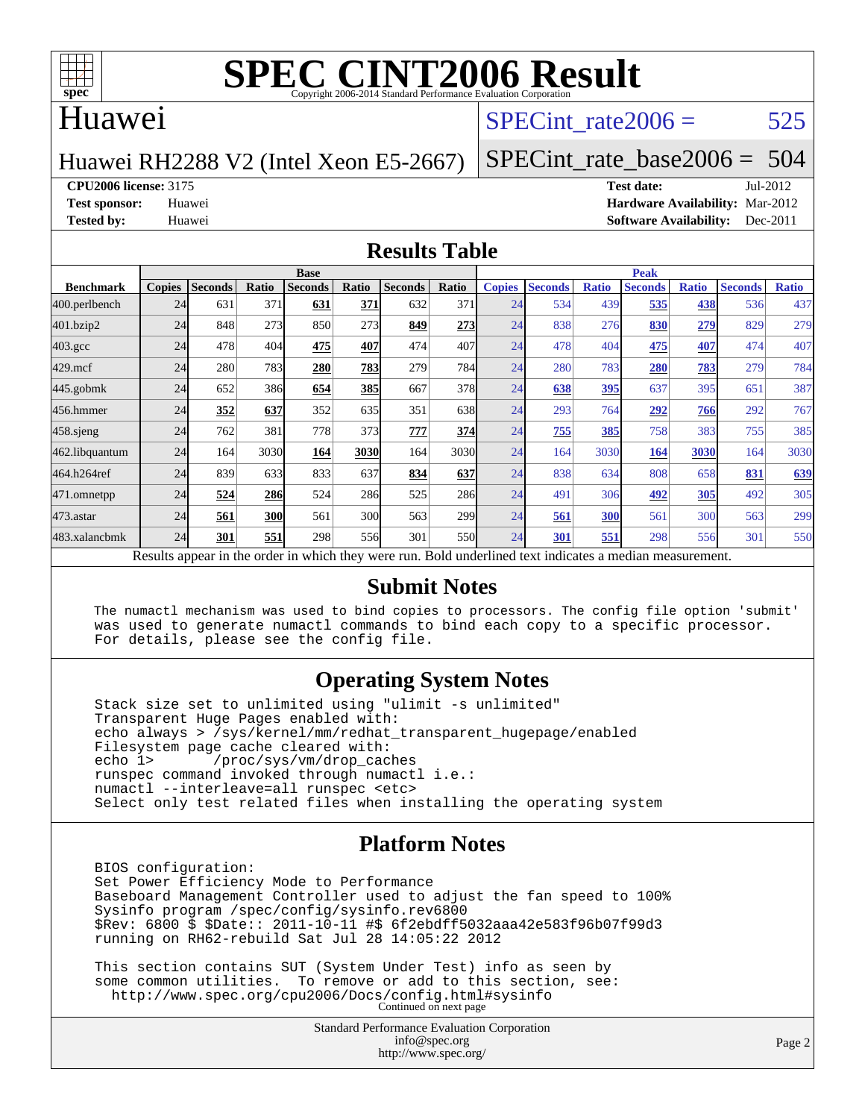

#### Huawei

### SPECint rate $2006 = 525$

Huawei RH2288 V2 (Intel Xeon E5-2667)

[SPECint\\_rate\\_base2006 =](http://www.spec.org/auto/cpu2006/Docs/result-fields.html#SPECintratebase2006) 504

**[CPU2006 license:](http://www.spec.org/auto/cpu2006/Docs/result-fields.html#CPU2006license)** 3175 **[Test date:](http://www.spec.org/auto/cpu2006/Docs/result-fields.html#Testdate)** Jul-2012

**[Test sponsor:](http://www.spec.org/auto/cpu2006/Docs/result-fields.html#Testsponsor)** Huawei **[Hardware Availability:](http://www.spec.org/auto/cpu2006/Docs/result-fields.html#HardwareAvailability)** Mar-2012 **[Tested by:](http://www.spec.org/auto/cpu2006/Docs/result-fields.html#Testedby)** Huawei **[Software Availability:](http://www.spec.org/auto/cpu2006/Docs/result-fields.html#SoftwareAvailability)** Dec-2011

#### **[Results Table](http://www.spec.org/auto/cpu2006/Docs/result-fields.html#ResultsTable)**

|                                                                                                          | <b>Base</b>   |                |            |                |       |                |                  |               | <b>Peak</b>    |              |                |              |                |              |  |
|----------------------------------------------------------------------------------------------------------|---------------|----------------|------------|----------------|-------|----------------|------------------|---------------|----------------|--------------|----------------|--------------|----------------|--------------|--|
| <b>Benchmark</b>                                                                                         | <b>Copies</b> | <b>Seconds</b> | Ratio      | <b>Seconds</b> | Ratio | <b>Seconds</b> | Ratio            | <b>Copies</b> | <b>Seconds</b> | <b>Ratio</b> | <b>Seconds</b> | <b>Ratio</b> | <b>Seconds</b> | <b>Ratio</b> |  |
| 400.perlbench                                                                                            | 24            | 631            | 371        | 631            | 371   | 632            | 371              | 24            | 534            | 439          | 535            | 438          | 536            | 437          |  |
| 401.bzip2                                                                                                | 24            | 848            | 273        | 850            | 273   | 849            | 273              | 24            | 838            | 276          | 830            | <u>279</u>   | 829            | 279          |  |
| $403.\mathrm{gcc}$                                                                                       | 24            | 478            | 404        | 475            | 407   | 474            | 407              | 24            | 478            | 404          | 475            | 407          | 474            | 407          |  |
| $429$ .mcf                                                                                               | 24            | 280            | 783        | 280            | 783   | 279            | 784              | 24            | 280            | 783          | 280            | 783          | 279            | 784          |  |
| 445.gobmk                                                                                                | 24            | 652            | 386        | 654            | 385   | 667            | 378              | 24            | 638            | 395          | 637            | 395          | 651            | 387          |  |
| 456.hmmer                                                                                                | 24            | 352            | 637        | 352            | 635   | 351            | 638              | 24            | 293            | 764          | 292            | 766          | 292            | 767          |  |
| $458$ .sjeng                                                                                             | 24            | 762            | 381        | 778            | 373   | 777            | 374              | 24            | 755            | 385          | 758            | 383          | 755            | 385          |  |
| 462.libquantum                                                                                           | 24            | 164            | 3030       | 164            | 3030  | 164            | 3030             | 24            | 164            | 3030         | 164            | 3030         | 164            | 3030         |  |
| 464.h264ref                                                                                              | 24            | 839            | 633        | 833            | 637   | 834            | 637              | 24            | 838            | 634          | 808            | 658          | 831            | 639          |  |
| 471.omnetpp                                                                                              | 24            | 524            | 286        | 524            | 286   | 525            | <b>286</b>       | 24            | 491            | 306          | 492            | 305          | 492            | 305          |  |
| $473$ . astar                                                                                            | 24            | 561            | <b>300</b> | 561            | 300   | 563            | 299 <sub>1</sub> | 24            | 561            | 300          | 561            | 300          | 563            | 299          |  |
| 483.xalancbmk                                                                                            | 24            | 301            | 551        | 298            | 556   | 301            | <b>550</b>       | 24            | 301            | 551          | 298            | 556          | 301            | 550          |  |
| Results appear in the order in which they were run. Bold underlined text indicates a median measurement. |               |                |            |                |       |                |                  |               |                |              |                |              |                |              |  |

#### **[Submit Notes](http://www.spec.org/auto/cpu2006/Docs/result-fields.html#SubmitNotes)**

 The numactl mechanism was used to bind copies to processors. The config file option 'submit' was used to generate numactl commands to bind each copy to a specific processor. For details, please see the config file.

#### **[Operating System Notes](http://www.spec.org/auto/cpu2006/Docs/result-fields.html#OperatingSystemNotes)**

 Stack size set to unlimited using "ulimit -s unlimited" Transparent Huge Pages enabled with: echo always > /sys/kernel/mm/redhat\_transparent\_hugepage/enabled Filesystem page cache cleared with:<br>echo 1> /proc/sys/vm/drop cac /proc/sys/vm/drop\_caches runspec command invoked through numactl i.e.: numactl --interleave=all runspec <etc> Select only test related files when installing the operating system

#### **[Platform Notes](http://www.spec.org/auto/cpu2006/Docs/result-fields.html#PlatformNotes)**

 BIOS configuration: Set Power Efficiency Mode to Performance Baseboard Management Controller used to adjust the fan speed to 100% Sysinfo program /spec/config/sysinfo.rev6800 \$Rev: 6800 \$ \$Date:: 2011-10-11 #\$ 6f2ebdff5032aaa42e583f96b07f99d3 running on RH62-rebuild Sat Jul 28 14:05:22 2012

 This section contains SUT (System Under Test) info as seen by some common utilities. To remove or add to this section, see: <http://www.spec.org/cpu2006/Docs/config.html#sysinfo> Continued on next page

> Standard Performance Evaluation Corporation [info@spec.org](mailto:info@spec.org) <http://www.spec.org/>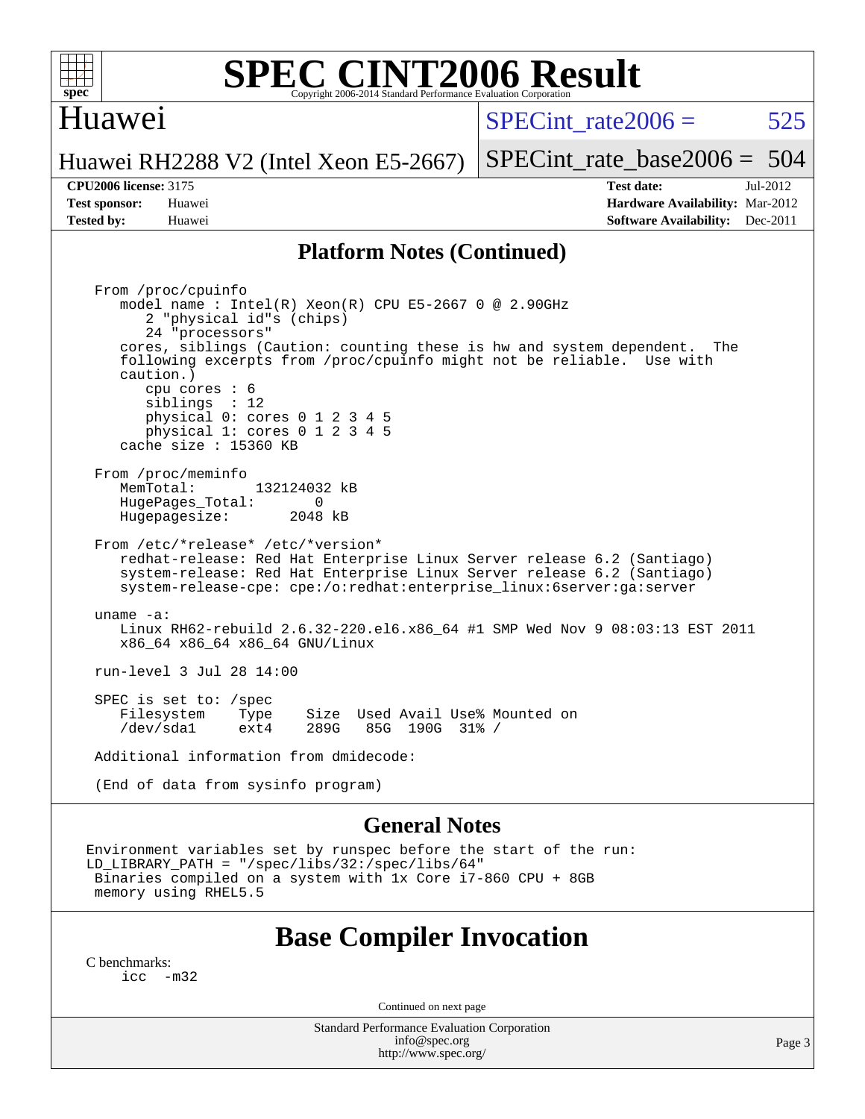

#### Huawei

SPECint rate $2006 = 525$ 

Huawei RH2288 V2 (Intel Xeon E5-2667)

[SPECint\\_rate\\_base2006 =](http://www.spec.org/auto/cpu2006/Docs/result-fields.html#SPECintratebase2006) 504

**[CPU2006 license:](http://www.spec.org/auto/cpu2006/Docs/result-fields.html#CPU2006license)** 3175 **[Test date:](http://www.spec.org/auto/cpu2006/Docs/result-fields.html#Testdate)** Jul-2012 **[Test sponsor:](http://www.spec.org/auto/cpu2006/Docs/result-fields.html#Testsponsor)** Huawei **[Hardware Availability:](http://www.spec.org/auto/cpu2006/Docs/result-fields.html#HardwareAvailability)** Mar-2012 **[Tested by:](http://www.spec.org/auto/cpu2006/Docs/result-fields.html#Testedby)** Huawei **[Software Availability:](http://www.spec.org/auto/cpu2006/Docs/result-fields.html#SoftwareAvailability)** Dec-2011

#### **[Platform Notes \(Continued\)](http://www.spec.org/auto/cpu2006/Docs/result-fields.html#PlatformNotes)**

 From /proc/cpuinfo model name : Intel(R) Xeon(R) CPU E5-2667 0 @ 2.90GHz 2 "physical id"s (chips) 24 "processors" cores, siblings (Caution: counting these is hw and system dependent. The following excerpts from /proc/cpuinfo might not be reliable. Use with caution.) cpu cores : 6 siblings : 12 physical 0: cores 0 1 2 3 4 5 physical 1: cores 0 1 2 3 4 5 cache size : 15360 KB From /proc/meminfo MemTotal: 132124032 kB<br>HugePages Total: 0 HugePages\_Total: 0 Hugepagesize: 2048 kB From /etc/\*release\* /etc/\*version\* redhat-release: Red Hat Enterprise Linux Server release 6.2 (Santiago) system-release: Red Hat Enterprise Linux Server release 6.2 (Santiago) system-release-cpe: cpe:/o:redhat:enterprise\_linux:6server:ga:server uname -a: Linux RH62-rebuild 2.6.32-220.el6.x86\_64 #1 SMP Wed Nov 9 08:03:13 EST 2011 x86\_64 x86\_64 x86\_64 GNU/Linux run-level 3 Jul 28 14:00 SPEC is set to: /spec<br>Filesystem Type Type Size Used Avail Use% Mounted on<br>ext4 289G 85G 190G 31% / /dev/sda1 ext4 289G 85G 190G 31% / Additional information from dmidecode: (End of data from sysinfo program)

#### **[General Notes](http://www.spec.org/auto/cpu2006/Docs/result-fields.html#GeneralNotes)**

Environment variables set by runspec before the start of the run: LD\_LIBRARY\_PATH = "/spec/libs/32:/spec/libs/64" Binaries compiled on a system with 1x Core i7-860 CPU + 8GB memory using RHEL5.5

#### **[Base Compiler Invocation](http://www.spec.org/auto/cpu2006/Docs/result-fields.html#BaseCompilerInvocation)**

[C benchmarks](http://www.spec.org/auto/cpu2006/Docs/result-fields.html#Cbenchmarks):  $inc -m32$ 

Continued on next page

Standard Performance Evaluation Corporation [info@spec.org](mailto:info@spec.org) <http://www.spec.org/>

Page 3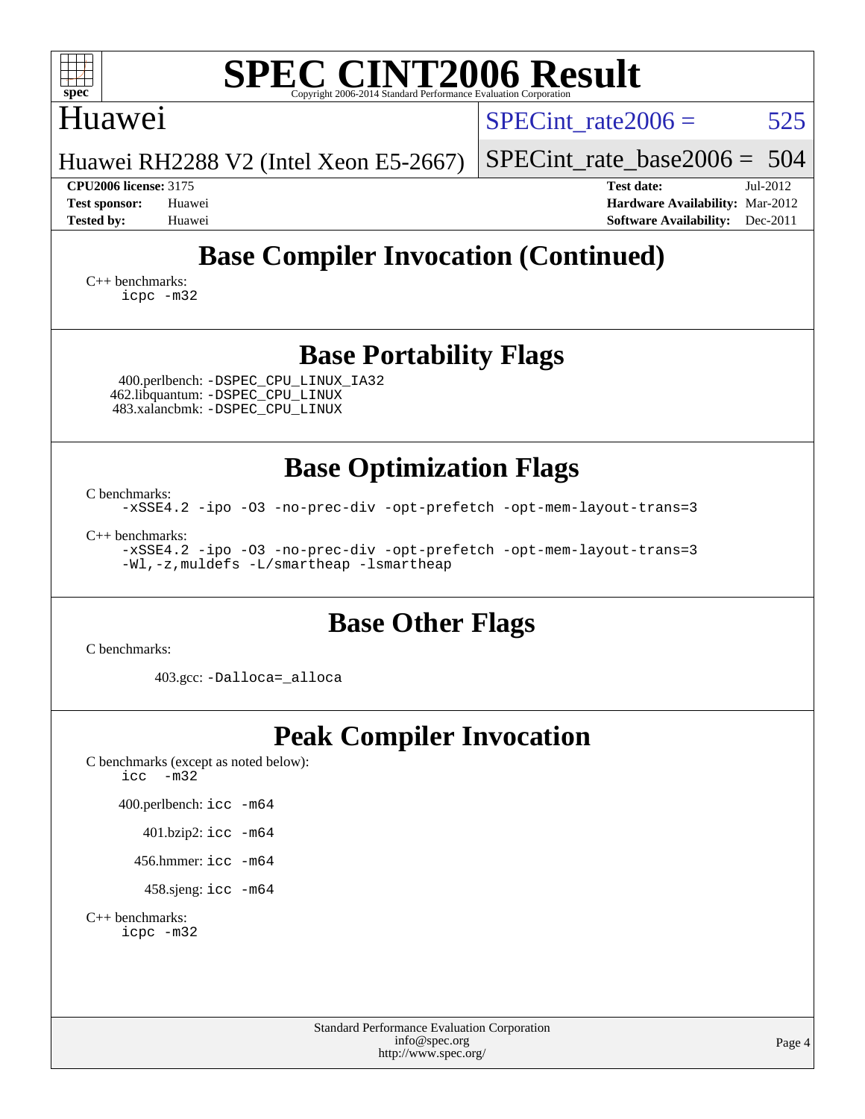| <b>SPEC CINT2006 Result</b><br>spec<br>Convright 2006-2014 Standard Performance Evaluation Corporation                                        |                                                                                                               |  |  |  |  |  |  |  |
|-----------------------------------------------------------------------------------------------------------------------------------------------|---------------------------------------------------------------------------------------------------------------|--|--|--|--|--|--|--|
| Huawei                                                                                                                                        | 525<br>SPECint rate $2006 =$                                                                                  |  |  |  |  |  |  |  |
| Huawei RH2288 V2 (Intel Xeon E5-2667)                                                                                                         | $SPECint_rate_base2006 = 504$                                                                                 |  |  |  |  |  |  |  |
| <b>CPU2006 license: 3175</b><br><b>Test sponsor:</b><br>Huawei<br><b>Tested by:</b><br>Huawei                                                 | <b>Test date:</b><br>Jul-2012<br>Hardware Availability: Mar-2012<br><b>Software Availability:</b><br>Dec-2011 |  |  |  |  |  |  |  |
| <b>Base Compiler Invocation (Continued)</b><br>$C_{++}$ benchmarks:<br>icpc -m32                                                              |                                                                                                               |  |  |  |  |  |  |  |
| <b>Base Portability Flags</b><br>400.perlbench: -DSPEC_CPU_LINUX_IA32<br>462.libquantum: -DSPEC_CPU_LINUX<br>483.xalancbmk: - DSPEC CPU LINUX |                                                                                                               |  |  |  |  |  |  |  |
| <b>Base Optimization Flags</b>                                                                                                                |                                                                                                               |  |  |  |  |  |  |  |
| C benchmarks:<br>-xSSE4.2 -ipo -03 -no-prec-div -opt-prefetch -opt-mem-layout-trans=3                                                         |                                                                                                               |  |  |  |  |  |  |  |
| $C_{++}$ benchmarks:<br>-xSSE4.2 -ipo -03 -no-prec-div -opt-prefetch -opt-mem-layout-trans=3<br>-Wl,-z, muldefs -L/smartheap -lsmartheap      |                                                                                                               |  |  |  |  |  |  |  |
| <b>Base Other Flags</b>                                                                                                                       |                                                                                                               |  |  |  |  |  |  |  |
| C benchmarks:                                                                                                                                 |                                                                                                               |  |  |  |  |  |  |  |
| 403.gcc: -Dalloca=_alloca                                                                                                                     |                                                                                                               |  |  |  |  |  |  |  |

# **[Peak Compiler Invocation](http://www.spec.org/auto/cpu2006/Docs/result-fields.html#PeakCompilerInvocation)**

[C benchmarks \(except as noted below\)](http://www.spec.org/auto/cpu2006/Docs/result-fields.html#Cbenchmarksexceptasnotedbelow): [icc -m32](http://www.spec.org/cpu2006/results/res2012q3/cpu2006-20120806-24076.flags.html#user_CCpeak_intel_icc_5ff4a39e364c98233615fdd38438c6f2)

400.perlbench: [icc -m64](http://www.spec.org/cpu2006/results/res2012q3/cpu2006-20120806-24076.flags.html#user_peakCCLD400_perlbench_intel_icc_64bit_bda6cc9af1fdbb0edc3795bac97ada53)

401.bzip2: [icc -m64](http://www.spec.org/cpu2006/results/res2012q3/cpu2006-20120806-24076.flags.html#user_peakCCLD401_bzip2_intel_icc_64bit_bda6cc9af1fdbb0edc3795bac97ada53)

456.hmmer: [icc -m64](http://www.spec.org/cpu2006/results/res2012q3/cpu2006-20120806-24076.flags.html#user_peakCCLD456_hmmer_intel_icc_64bit_bda6cc9af1fdbb0edc3795bac97ada53)

458.sjeng: [icc -m64](http://www.spec.org/cpu2006/results/res2012q3/cpu2006-20120806-24076.flags.html#user_peakCCLD458_sjeng_intel_icc_64bit_bda6cc9af1fdbb0edc3795bac97ada53)

[C++ benchmarks:](http://www.spec.org/auto/cpu2006/Docs/result-fields.html#CXXbenchmarks) [icpc -m32](http://www.spec.org/cpu2006/results/res2012q3/cpu2006-20120806-24076.flags.html#user_CXXpeak_intel_icpc_4e5a5ef1a53fd332b3c49e69c3330699)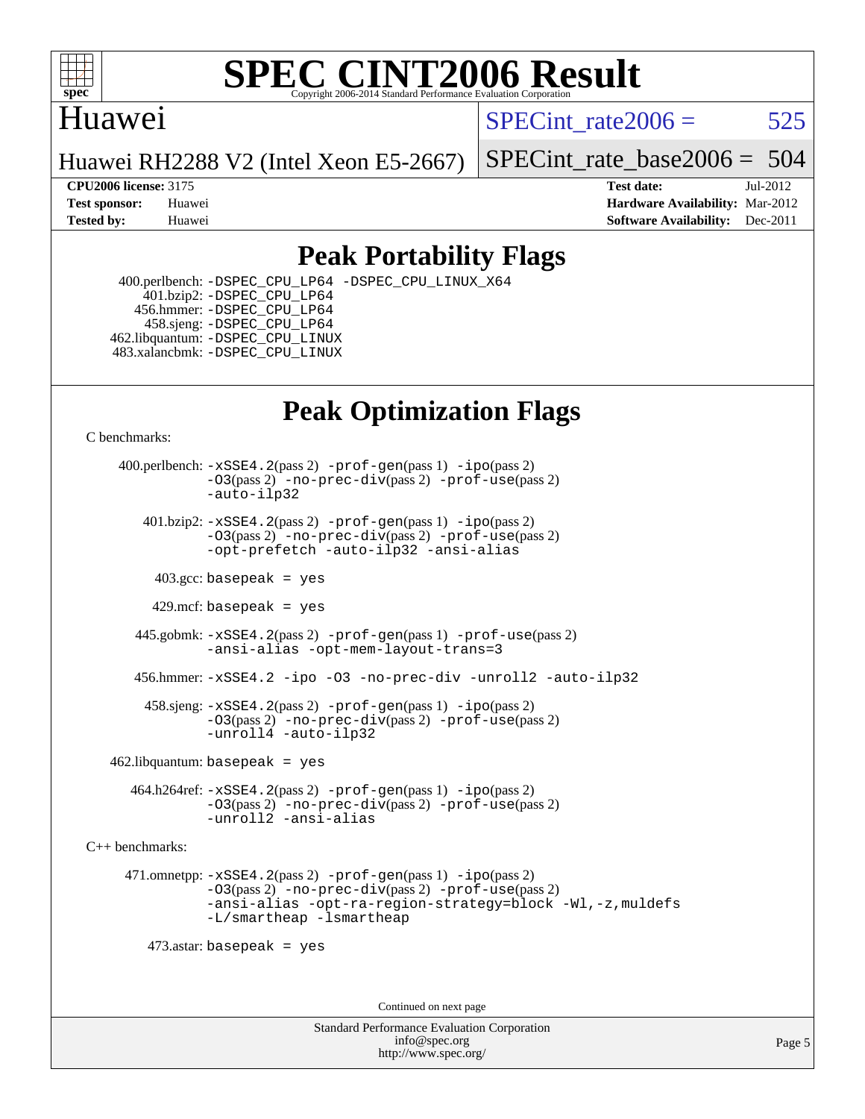

### Huawei

SPECint rate $2006 = 525$ 

Huawei RH2288 V2 (Intel Xeon E5-2667)

[SPECint\\_rate\\_base2006 =](http://www.spec.org/auto/cpu2006/Docs/result-fields.html#SPECintratebase2006) 504

**[CPU2006 license:](http://www.spec.org/auto/cpu2006/Docs/result-fields.html#CPU2006license)** 3175 **[Test date:](http://www.spec.org/auto/cpu2006/Docs/result-fields.html#Testdate)** Jul-2012 **[Test sponsor:](http://www.spec.org/auto/cpu2006/Docs/result-fields.html#Testsponsor)** Huawei **[Hardware Availability:](http://www.spec.org/auto/cpu2006/Docs/result-fields.html#HardwareAvailability)** Mar-2012 **[Tested by:](http://www.spec.org/auto/cpu2006/Docs/result-fields.html#Testedby)** Huawei **[Software Availability:](http://www.spec.org/auto/cpu2006/Docs/result-fields.html#SoftwareAvailability)** Dec-2011

### **[Peak Portability Flags](http://www.spec.org/auto/cpu2006/Docs/result-fields.html#PeakPortabilityFlags)**

 400.perlbench: [-DSPEC\\_CPU\\_LP64](http://www.spec.org/cpu2006/results/res2012q3/cpu2006-20120806-24076.flags.html#b400.perlbench_peakCPORTABILITY_DSPEC_CPU_LP64) [-DSPEC\\_CPU\\_LINUX\\_X64](http://www.spec.org/cpu2006/results/res2012q3/cpu2006-20120806-24076.flags.html#b400.perlbench_peakCPORTABILITY_DSPEC_CPU_LINUX_X64) 401.bzip2: [-DSPEC\\_CPU\\_LP64](http://www.spec.org/cpu2006/results/res2012q3/cpu2006-20120806-24076.flags.html#suite_peakCPORTABILITY401_bzip2_DSPEC_CPU_LP64) 456.hmmer: [-DSPEC\\_CPU\\_LP64](http://www.spec.org/cpu2006/results/res2012q3/cpu2006-20120806-24076.flags.html#suite_peakCPORTABILITY456_hmmer_DSPEC_CPU_LP64) 458.sjeng: [-DSPEC\\_CPU\\_LP64](http://www.spec.org/cpu2006/results/res2012q3/cpu2006-20120806-24076.flags.html#suite_peakCPORTABILITY458_sjeng_DSPEC_CPU_LP64) 462.libquantum: [-DSPEC\\_CPU\\_LINUX](http://www.spec.org/cpu2006/results/res2012q3/cpu2006-20120806-24076.flags.html#b462.libquantum_peakCPORTABILITY_DSPEC_CPU_LINUX) 483.xalancbmk: [-DSPEC\\_CPU\\_LINUX](http://www.spec.org/cpu2006/results/res2012q3/cpu2006-20120806-24076.flags.html#b483.xalancbmk_peakCXXPORTABILITY_DSPEC_CPU_LINUX)

## **[Peak Optimization Flags](http://www.spec.org/auto/cpu2006/Docs/result-fields.html#PeakOptimizationFlags)**

[C benchmarks](http://www.spec.org/auto/cpu2006/Docs/result-fields.html#Cbenchmarks):

 400.perlbench: [-xSSE4.2](http://www.spec.org/cpu2006/results/res2012q3/cpu2006-20120806-24076.flags.html#user_peakPASS2_CFLAGSPASS2_LDCFLAGS400_perlbench_f-xSSE42_f91528193cf0b216347adb8b939d4107)(pass 2) [-prof-gen](http://www.spec.org/cpu2006/results/res2012q3/cpu2006-20120806-24076.flags.html#user_peakPASS1_CFLAGSPASS1_LDCFLAGS400_perlbench_prof_gen_e43856698f6ca7b7e442dfd80e94a8fc)(pass 1) [-ipo](http://www.spec.org/cpu2006/results/res2012q3/cpu2006-20120806-24076.flags.html#user_peakPASS2_CFLAGSPASS2_LDCFLAGS400_perlbench_f-ipo)(pass 2) [-O3](http://www.spec.org/cpu2006/results/res2012q3/cpu2006-20120806-24076.flags.html#user_peakPASS2_CFLAGSPASS2_LDCFLAGS400_perlbench_f-O3)(pass 2) [-no-prec-div](http://www.spec.org/cpu2006/results/res2012q3/cpu2006-20120806-24076.flags.html#user_peakPASS2_CFLAGSPASS2_LDCFLAGS400_perlbench_f-no-prec-div)(pass 2) [-prof-use](http://www.spec.org/cpu2006/results/res2012q3/cpu2006-20120806-24076.flags.html#user_peakPASS2_CFLAGSPASS2_LDCFLAGS400_perlbench_prof_use_bccf7792157ff70d64e32fe3e1250b55)(pass 2) [-auto-ilp32](http://www.spec.org/cpu2006/results/res2012q3/cpu2006-20120806-24076.flags.html#user_peakCOPTIMIZE400_perlbench_f-auto-ilp32)  $401.bzip2: -xSSE4.2(pass 2) -prof-qen(pass 1) -ipo(pass 2)$  $401.bzip2: -xSSE4.2(pass 2) -prof-qen(pass 1) -ipo(pass 2)$  $401.bzip2: -xSSE4.2(pass 2) -prof-qen(pass 1) -ipo(pass 2)$  $401.bzip2: -xSSE4.2(pass 2) -prof-qen(pass 1) -ipo(pass 2)$  $401.bzip2: -xSSE4.2(pass 2) -prof-qen(pass 1) -ipo(pass 2)$ [-O3](http://www.spec.org/cpu2006/results/res2012q3/cpu2006-20120806-24076.flags.html#user_peakPASS2_CFLAGSPASS2_LDCFLAGS401_bzip2_f-O3)(pass 2) [-no-prec-div](http://www.spec.org/cpu2006/results/res2012q3/cpu2006-20120806-24076.flags.html#user_peakPASS2_CFLAGSPASS2_LDCFLAGS401_bzip2_f-no-prec-div)(pass 2) [-prof-use](http://www.spec.org/cpu2006/results/res2012q3/cpu2006-20120806-24076.flags.html#user_peakPASS2_CFLAGSPASS2_LDCFLAGS401_bzip2_prof_use_bccf7792157ff70d64e32fe3e1250b55)(pass 2) [-opt-prefetch](http://www.spec.org/cpu2006/results/res2012q3/cpu2006-20120806-24076.flags.html#user_peakCOPTIMIZE401_bzip2_f-opt-prefetch) [-auto-ilp32](http://www.spec.org/cpu2006/results/res2012q3/cpu2006-20120806-24076.flags.html#user_peakCOPTIMIZE401_bzip2_f-auto-ilp32) [-ansi-alias](http://www.spec.org/cpu2006/results/res2012q3/cpu2006-20120806-24076.flags.html#user_peakCOPTIMIZE401_bzip2_f-ansi-alias)  $403.\text{sec: basepeak}$  = yes 429.mcf: basepeak = yes 445.gobmk: [-xSSE4.2](http://www.spec.org/cpu2006/results/res2012q3/cpu2006-20120806-24076.flags.html#user_peakPASS2_CFLAGSPASS2_LDCFLAGS445_gobmk_f-xSSE42_f91528193cf0b216347adb8b939d4107)(pass 2) [-prof-gen](http://www.spec.org/cpu2006/results/res2012q3/cpu2006-20120806-24076.flags.html#user_peakPASS1_CFLAGSPASS1_LDCFLAGS445_gobmk_prof_gen_e43856698f6ca7b7e442dfd80e94a8fc)(pass 1) [-prof-use](http://www.spec.org/cpu2006/results/res2012q3/cpu2006-20120806-24076.flags.html#user_peakPASS2_CFLAGSPASS2_LDCFLAGS445_gobmk_prof_use_bccf7792157ff70d64e32fe3e1250b55)(pass 2) [-ansi-alias](http://www.spec.org/cpu2006/results/res2012q3/cpu2006-20120806-24076.flags.html#user_peakCOPTIMIZE445_gobmk_f-ansi-alias) [-opt-mem-layout-trans=3](http://www.spec.org/cpu2006/results/res2012q3/cpu2006-20120806-24076.flags.html#user_peakCOPTIMIZE445_gobmk_f-opt-mem-layout-trans_a7b82ad4bd7abf52556d4961a2ae94d5) 456.hmmer: [-xSSE4.2](http://www.spec.org/cpu2006/results/res2012q3/cpu2006-20120806-24076.flags.html#user_peakCOPTIMIZE456_hmmer_f-xSSE42_f91528193cf0b216347adb8b939d4107) [-ipo](http://www.spec.org/cpu2006/results/res2012q3/cpu2006-20120806-24076.flags.html#user_peakCOPTIMIZE456_hmmer_f-ipo) [-O3](http://www.spec.org/cpu2006/results/res2012q3/cpu2006-20120806-24076.flags.html#user_peakCOPTIMIZE456_hmmer_f-O3) [-no-prec-div](http://www.spec.org/cpu2006/results/res2012q3/cpu2006-20120806-24076.flags.html#user_peakCOPTIMIZE456_hmmer_f-no-prec-div) [-unroll2](http://www.spec.org/cpu2006/results/res2012q3/cpu2006-20120806-24076.flags.html#user_peakCOPTIMIZE456_hmmer_f-unroll_784dae83bebfb236979b41d2422d7ec2) [-auto-ilp32](http://www.spec.org/cpu2006/results/res2012q3/cpu2006-20120806-24076.flags.html#user_peakCOPTIMIZE456_hmmer_f-auto-ilp32) 458.sjeng: [-xSSE4.2](http://www.spec.org/cpu2006/results/res2012q3/cpu2006-20120806-24076.flags.html#user_peakPASS2_CFLAGSPASS2_LDCFLAGS458_sjeng_f-xSSE42_f91528193cf0b216347adb8b939d4107)(pass 2) [-prof-gen](http://www.spec.org/cpu2006/results/res2012q3/cpu2006-20120806-24076.flags.html#user_peakPASS1_CFLAGSPASS1_LDCFLAGS458_sjeng_prof_gen_e43856698f6ca7b7e442dfd80e94a8fc)(pass 1) [-ipo](http://www.spec.org/cpu2006/results/res2012q3/cpu2006-20120806-24076.flags.html#user_peakPASS2_CFLAGSPASS2_LDCFLAGS458_sjeng_f-ipo)(pass 2) [-O3](http://www.spec.org/cpu2006/results/res2012q3/cpu2006-20120806-24076.flags.html#user_peakPASS2_CFLAGSPASS2_LDCFLAGS458_sjeng_f-O3)(pass 2) [-no-prec-div](http://www.spec.org/cpu2006/results/res2012q3/cpu2006-20120806-24076.flags.html#user_peakPASS2_CFLAGSPASS2_LDCFLAGS458_sjeng_f-no-prec-div)(pass 2) [-prof-use](http://www.spec.org/cpu2006/results/res2012q3/cpu2006-20120806-24076.flags.html#user_peakPASS2_CFLAGSPASS2_LDCFLAGS458_sjeng_prof_use_bccf7792157ff70d64e32fe3e1250b55)(pass 2) [-unroll4](http://www.spec.org/cpu2006/results/res2012q3/cpu2006-20120806-24076.flags.html#user_peakCOPTIMIZE458_sjeng_f-unroll_4e5e4ed65b7fd20bdcd365bec371b81f) [-auto-ilp32](http://www.spec.org/cpu2006/results/res2012q3/cpu2006-20120806-24076.flags.html#user_peakCOPTIMIZE458_sjeng_f-auto-ilp32)  $462$ .libquantum: basepeak = yes 464.h264ref: [-xSSE4.2](http://www.spec.org/cpu2006/results/res2012q3/cpu2006-20120806-24076.flags.html#user_peakPASS2_CFLAGSPASS2_LDCFLAGS464_h264ref_f-xSSE42_f91528193cf0b216347adb8b939d4107)(pass 2) [-prof-gen](http://www.spec.org/cpu2006/results/res2012q3/cpu2006-20120806-24076.flags.html#user_peakPASS1_CFLAGSPASS1_LDCFLAGS464_h264ref_prof_gen_e43856698f6ca7b7e442dfd80e94a8fc)(pass 1) [-ipo](http://www.spec.org/cpu2006/results/res2012q3/cpu2006-20120806-24076.flags.html#user_peakPASS2_CFLAGSPASS2_LDCFLAGS464_h264ref_f-ipo)(pass 2)

[-O3](http://www.spec.org/cpu2006/results/res2012q3/cpu2006-20120806-24076.flags.html#user_peakPASS2_CFLAGSPASS2_LDCFLAGS464_h264ref_f-O3)(pass 2) [-no-prec-div](http://www.spec.org/cpu2006/results/res2012q3/cpu2006-20120806-24076.flags.html#user_peakPASS2_CFLAGSPASS2_LDCFLAGS464_h264ref_f-no-prec-div)(pass 2) [-prof-use](http://www.spec.org/cpu2006/results/res2012q3/cpu2006-20120806-24076.flags.html#user_peakPASS2_CFLAGSPASS2_LDCFLAGS464_h264ref_prof_use_bccf7792157ff70d64e32fe3e1250b55)(pass 2) [-unroll2](http://www.spec.org/cpu2006/results/res2012q3/cpu2006-20120806-24076.flags.html#user_peakCOPTIMIZE464_h264ref_f-unroll_784dae83bebfb236979b41d2422d7ec2) [-ansi-alias](http://www.spec.org/cpu2006/results/res2012q3/cpu2006-20120806-24076.flags.html#user_peakCOPTIMIZE464_h264ref_f-ansi-alias)

[C++ benchmarks:](http://www.spec.org/auto/cpu2006/Docs/result-fields.html#CXXbenchmarks)

 471.omnetpp: [-xSSE4.2](http://www.spec.org/cpu2006/results/res2012q3/cpu2006-20120806-24076.flags.html#user_peakPASS2_CXXFLAGSPASS2_LDCXXFLAGS471_omnetpp_f-xSSE42_f91528193cf0b216347adb8b939d4107)(pass 2) [-prof-gen](http://www.spec.org/cpu2006/results/res2012q3/cpu2006-20120806-24076.flags.html#user_peakPASS1_CXXFLAGSPASS1_LDCXXFLAGS471_omnetpp_prof_gen_e43856698f6ca7b7e442dfd80e94a8fc)(pass 1) [-ipo](http://www.spec.org/cpu2006/results/res2012q3/cpu2006-20120806-24076.flags.html#user_peakPASS2_CXXFLAGSPASS2_LDCXXFLAGS471_omnetpp_f-ipo)(pass 2) [-O3](http://www.spec.org/cpu2006/results/res2012q3/cpu2006-20120806-24076.flags.html#user_peakPASS2_CXXFLAGSPASS2_LDCXXFLAGS471_omnetpp_f-O3)(pass 2) [-no-prec-div](http://www.spec.org/cpu2006/results/res2012q3/cpu2006-20120806-24076.flags.html#user_peakPASS2_CXXFLAGSPASS2_LDCXXFLAGS471_omnetpp_f-no-prec-div)(pass 2) [-prof-use](http://www.spec.org/cpu2006/results/res2012q3/cpu2006-20120806-24076.flags.html#user_peakPASS2_CXXFLAGSPASS2_LDCXXFLAGS471_omnetpp_prof_use_bccf7792157ff70d64e32fe3e1250b55)(pass 2) [-ansi-alias](http://www.spec.org/cpu2006/results/res2012q3/cpu2006-20120806-24076.flags.html#user_peakCXXOPTIMIZE471_omnetpp_f-ansi-alias) [-opt-ra-region-strategy=block](http://www.spec.org/cpu2006/results/res2012q3/cpu2006-20120806-24076.flags.html#user_peakCXXOPTIMIZE471_omnetpp_f-opt-ra-region-strategy_a0a37c372d03933b2a18d4af463c1f69) [-Wl,-z,muldefs](http://www.spec.org/cpu2006/results/res2012q3/cpu2006-20120806-24076.flags.html#user_peakEXTRA_LDFLAGS471_omnetpp_link_force_multiple1_74079c344b956b9658436fd1b6dd3a8a) [-L/smartheap -lsmartheap](http://www.spec.org/cpu2006/results/res2012q3/cpu2006-20120806-24076.flags.html#user_peakEXTRA_LIBS471_omnetpp_SmartHeap_7c9e394a5779e1a7fec7c221e123830c)

473.astar: basepeak = yes

Continued on next page

Standard Performance Evaluation Corporation [info@spec.org](mailto:info@spec.org) <http://www.spec.org/>